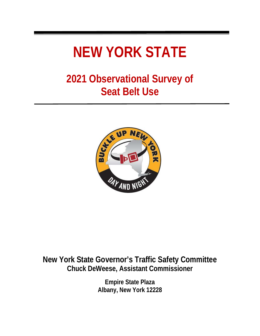# **NEW YORK STATE**

## **2021 Observational Survey of Seat Belt Use**



## **New York State Governor's Traffic Safety Committee Chuck DeWeese, Assistant Commissioner**

**Empire State Plaza Albany, New York 12228**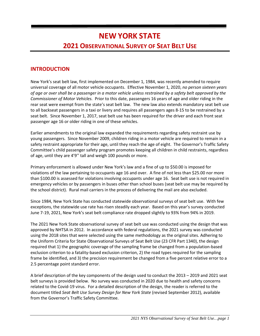## **NEW YORK STATE 2021 OBSERVATIONAL SURVEY OF SEAT BELT USE**

#### **INTRODUCTION**

New York's seat belt law, first implemented on December 1, 1984, was recently amended to require universal coverage of all motor vehicle occupants. Effective November 1, 2020, *no person sixteen years of age or over shall be a passenger in a motor vehicle unless restrained by a safety belt approved by the Commissioner of Motor Vehicles.* Prior to this date, passengers 16 years of age and older riding in the rear seat were exempt from the state's seat belt law. The new law also extends mandatory seat belt use to all backseat passengers in a taxi or livery and requires all passengers ages 8-15 to be restrained by a seat belt. Since November 1, 2017, seat belt use has been required for the driver and each front seat passenger age 16 or older riding in one of these vehicles.

Earlier amendments to the original law expanded the requirements regarding safety restraint use by young passengers. Since November 2009, children riding in a motor vehicle are required to remain in a safety restraint appropriate for their age, until they reach the age of eight. The Governor's Traffic Safety Committee's child passenger safety program promotes keeping all children in child restraints, regardless of age, until they are 4'9'' tall and weigh 100 pounds or more.

Primary enforcement is allowed under New York's law and a fine of up to \$50.00 is imposed for violations of the law pertaining to occupants age 16 and over. A fine of not less than \$25.00 nor more than \$100.00 is assessed for violations involving occupants under age 16. Seat belt use is not required in emergency vehicles or by passengers in buses other than school buses (seat belt use may be required by the school district). Rural mail carriers in the process of delivering the mail are also excluded.

Since 1984, New York State has conducted statewide observational surveys of seat belt use. With few exceptions, the statewide use rate has risen steadily each year. Based on this year's survey conducted June 7-19, 2021, New York's seat belt compliance rate dropped slightly to 93% from 94% in 2019.

The 2021 New York State observational survey of seat belt use was conducted using the design that was approved by NHTSA in 2012. In accordance with federal regulations, the 2021 survey was conducted using the 2018 sites that were selected using the same methodology as the original sites. Adhering to the Uniform Criteria for State Observational Surveys of Seat Belt Use (23 CFR Part 1340), the design required that 1) the geographic coverage of the sampling frame be changed from a population-based exclusion criterion to a fatality-based exclusion criterion, 2) the road types required for the sampling frame be identified, and 3) the precision requirement be changed from a five percent relative error to a 2.5 percentage point standard error.

A brief description of the key components of the design used to conduct the 2013 – 2019 and 2021 seat belt surveys is provided below. No survey was conducted in 2020 due to health and safety concerns related to the Covid-19 virus. For a detailed description of the design, the reader is referred to the document titled *Seat Belt Use Survey Design for New York State* (revised September 2012), available from the Governor's Traffic Safety Committee.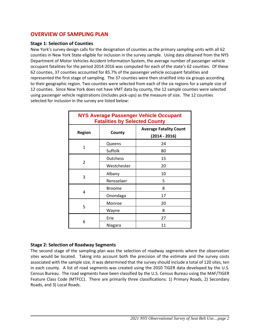#### **OVERVIEW OF SAMPLING PLAN**

#### **Stage 1: Selection of Counties**

New York's survey design calls for the designation of counties as the primary sampling units with all 62 counties in New York State eligible for inclusion in the survey sample. Using data obtained from the NYS Department of Motor Vehicles Accident Information System, the average number of passenger vehicle occupant fatalities for the period 2014-2016 was computed for each of the state's 62 counties. Of these 62 counties, 37 counties accounted for 85.7% of the passenger vehicle occupant fatalities and represented the first stage of sampling. The 37 counties were then stratified into six groups according to their geographic region. Two counties were selected from each of the six regions for a sample size of 12 counties. Since New York does not have VMT data by county, the 12 sample counties were selected using passenger vehicle registrations (includes pick-ups) as the measure of size. The 12 counties selected for inclusion in the survey are listed below:

| <b>NYS Average Passenger Vehicle Occupant</b><br><b>Fatalities by Selected County</b> |                 |                                                  |  |  |  |  |  |  |
|---------------------------------------------------------------------------------------|-----------------|--------------------------------------------------|--|--|--|--|--|--|
| <b>Region</b>                                                                         | County          | <b>Average Fatality Count</b><br>$(2014 - 2016)$ |  |  |  |  |  |  |
|                                                                                       | Queens          | 24                                               |  |  |  |  |  |  |
| 1                                                                                     | Suffolk         | 80                                               |  |  |  |  |  |  |
|                                                                                       | <b>Dutchess</b> | 15                                               |  |  |  |  |  |  |
| $\overline{2}$                                                                        | Westchester     | 20                                               |  |  |  |  |  |  |
|                                                                                       | Albany          | 10                                               |  |  |  |  |  |  |
| 3                                                                                     | Rensselaer      | 5                                                |  |  |  |  |  |  |
|                                                                                       | <b>Broome</b>   | 8                                                |  |  |  |  |  |  |
| 4                                                                                     | Onondaga        | 17                                               |  |  |  |  |  |  |
| 5                                                                                     | Monroe          | 20                                               |  |  |  |  |  |  |
|                                                                                       | Wayne           | 8                                                |  |  |  |  |  |  |
|                                                                                       | Erie            | 27                                               |  |  |  |  |  |  |
| 6                                                                                     | Niagara         | 11                                               |  |  |  |  |  |  |

#### **Stage 2: Selection of Roadway Segments**

The second stage of the sampling plan was the selection of roadway segments where the observation sites would be located. Taking into account both the precision of the estimate and the survey costs associated with the sample size, it was determined that the survey should include a total of 120 sites, ten in each county. A list of road segments was created using the 2010 TIGER data developed by the U.S. Census Bureau. The road segments have been classified by the U.S. Census Bureau using the MAF/TIGER Feature Class Code (MTFCC). There are primarily three classifications: 1) Primary Roads, 2) Secondary Roads, and 3) Local Roads.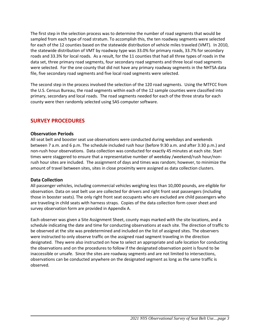The first step in the selection process was to determine the number of road segments that would be sampled from each type of road stratum. To accomplish this, the ten roadway segments were selected for each of the 12 counties based on the statewide distribution of vehicle miles traveled (VMT). In 2010, the statewide distribution of VMT by roadway type was 33.0% for primary roads, 33.7% for secondary roads and 33.3% for local roads. As a result, for the 11 counties that had all three types of roads in the data set, three primary road segments, four secondary road segments and three local road segments were selected. For the one county that did not have any primary roadway segments in the NHTSA data file, five secondary road segments and five local road segments were selected.

The second step in the process involved the selection of the 120 road segments. Using the MTFCC from the U.S. Census Bureau, the road segments within each of the 12 sample counties were classified into primary, secondary and local roads. The road segments needed for each of the three strata for each county were then randomly selected using SAS computer software.

#### **SURVEY PROCEDURES**

#### **Observation Periods**

All seat belt and booster seat use observations were conducted during weekdays and weekends between 7 a.m. and 6 p.m. The schedule included rush hour (before 9:30 a.m. and after 3:30 p.m.) and non-rush hour observations. Data collection was conducted for exactly 45 minutes at each site. Start times were staggered to ensure that a representative number of weekday /weekend/rush hour/nonrush hour sites are included. The assignment of days and times was random; however, to minimize the amount of travel between sites, sites in close proximity were assigned as data collection clusters.

#### **Data Collection**

All passenger vehicles, including commercial vehicles weighing less than 10,000 pounds, are eligible for observation. Data on seat belt use are collected for drivers and right front seat passengers (including those in booster seats). The only right front seat occupants who are excluded are child passengers who are traveling in child seats with harness straps. Copies of the data collection form cover sheet and survey observation form are provided in Appendix A.

Each observer was given a Site Assignment Sheet, county maps marked with the site locations, and a schedule indicating the date and time for conducting observations at each site. The direction of traffic to be observed at the site was predetermined and included on the list of assigned sites. The observers were instructed to only observe traffic on the assigned road segment traveling in the direction designated. They were also instructed on how to select an appropriate and safe location for conducting the observations and on the procedures to follow if the designated observation point is found to be inaccessible or unsafe. Since the sites are roadway segments and are not limited to intersections, observations can be conducted anywhere on the designated segment as long as the same traffic is observed.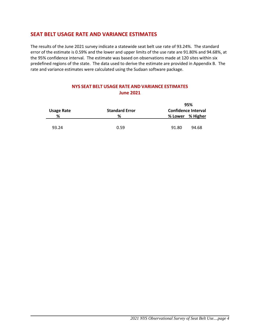#### **SEAT BELT USAGE RATE AND VARIANCE ESTIMATES**

The results of the June 2021 survey indicate a statewide seat belt use rate of 93.24%. The standard error of the estimate is 0.59% and the lower and upper limits of the use rate are 91.80% and 94.68%, at the 95% confidence interval. The estimate was based on observations made at 120 sites within six predefined regions of the state. The data used to derive the estimate are provided in Appendix B. The rate and variance estimates were calculated using the Sudaan software package.

| <b>Usage Rate</b> | <b>Standard Error</b> | 95%<br><b>Confidence Interval</b> |  |  |  |  |
|-------------------|-----------------------|-----------------------------------|--|--|--|--|
| %                 | %                     | % Lower % Higher                  |  |  |  |  |
| 93.24             | 0.59                  | 94.68<br>91.80                    |  |  |  |  |

#### **NYS SEAT BELT USAGE RATE AND VARIANCE ESTIMATES June 2021**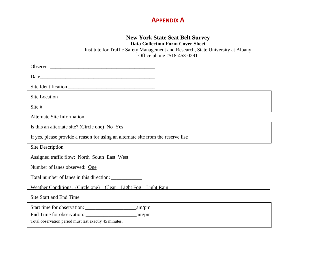#### **APPENDIX A**

#### **New York State Seat Belt Survey**

**Data Collection Form Cover Sheet**

Institute for Traffic Safety Management and Research, State University at Albany Office phone #518-453-0291

Observer \_\_\_\_\_\_\_\_\_\_\_\_\_\_\_\_\_\_\_\_\_\_\_\_\_\_\_\_\_\_\_\_\_\_\_\_\_\_\_\_\_ Date\_\_\_\_\_\_\_\_\_\_\_\_\_\_\_\_\_\_\_\_\_\_\_\_\_\_\_\_\_\_\_\_\_\_\_\_\_\_\_\_\_\_\_\_\_ Site Identification \_\_\_\_\_\_\_\_\_\_\_\_\_\_\_\_\_\_\_\_\_\_\_\_\_\_\_\_\_\_\_\_\_\_ Site Location Site # \_\_\_\_\_\_\_\_\_\_\_\_\_\_\_\_\_\_\_\_\_\_\_\_\_\_\_\_\_\_\_\_\_\_\_\_\_\_\_\_\_\_\_\_ Alternate Site Information Is this an alternate site? (Circle one) No Yes If yes, please provide a reason for using an alternate site from the reserve list: Site Description Assigned traffic flow: North South East West Number of lanes observed: One Total number of lanes in this direction: Weather Conditions: (Circle one) Clear Light Fog Light Rain Site Start and End Time

| Start time for observation:                            | am/pm |  |
|--------------------------------------------------------|-------|--|
| End Time for observation:                              | am/m  |  |
| Total observation period must last exactly 45 minutes. |       |  |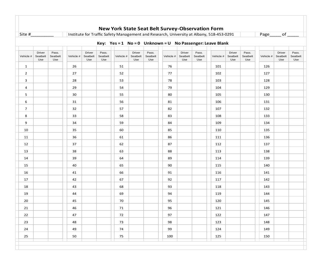| Site #         |                                  |                          |           |                                  |                          |           |                           |                          |           |                                  |                          | Institute for Traffic Safety Management and Research, University at Albany, 518-453-0291 |                           |                          | Page      |                           | of $\hspace{0.05cm}$     |
|----------------|----------------------------------|--------------------------|-----------|----------------------------------|--------------------------|-----------|---------------------------|--------------------------|-----------|----------------------------------|--------------------------|------------------------------------------------------------------------------------------|---------------------------|--------------------------|-----------|---------------------------|--------------------------|
|                |                                  |                          |           |                                  |                          |           |                           |                          |           |                                  |                          | Key: Yes = 1 No = 0 Unknown = U No Passenger: Leave Blank                                |                           |                          |           |                           |                          |
| Vehicle #      | <b>Driver</b><br>Seatbelt<br>Use | Pass.<br>Seatbelt<br>Use | Vehicle # | <b>Driver</b><br>Seatbelt<br>Use | Pass.<br>Seatbelt<br>Use | Vehicle # | Driver<br>Seatbelt<br>Use | Pass.<br>Seatbelt<br>Use | Vehicle # | <b>Driver</b><br>Seatbelt<br>Use | Pass.<br>Seatbelt<br>Use | Vehicle #                                                                                | Driver<br>Seatbelt<br>Use | Pass.<br>Seatbelt<br>Use | Vehicle # | Driver<br>Seatbelt<br>Use | Pass.<br>Seatbelt<br>Use |
| $\mathbf{1}$   |                                  |                          | 26        |                                  |                          | 51        |                           |                          | 76        |                                  |                          | 101                                                                                      |                           |                          | 126       |                           |                          |
| $\overline{2}$ |                                  |                          | 27        |                                  |                          | 52        |                           |                          | 77        |                                  |                          | 102                                                                                      |                           |                          | 127       |                           |                          |
| 3              |                                  |                          | 28        |                                  |                          | 53        |                           |                          | 78        |                                  |                          | 103                                                                                      |                           |                          | 128       |                           |                          |
| 4              |                                  |                          | 29        |                                  |                          | 54        |                           |                          | 79        |                                  |                          | 104                                                                                      |                           |                          | 129       |                           |                          |
| 5              |                                  |                          | 30        |                                  |                          | 55        |                           |                          | 80        |                                  |                          | 105                                                                                      |                           |                          | 130       |                           |                          |
| 6              |                                  |                          | 31        |                                  |                          | 56        |                           |                          | 81        |                                  |                          | 106                                                                                      |                           |                          | 131       |                           |                          |
| 7              |                                  |                          | 32        |                                  |                          | 57        |                           |                          | 82        |                                  |                          | 107                                                                                      |                           |                          | 132       |                           |                          |
| 8              |                                  |                          | 33        |                                  |                          | 58        |                           |                          | 83        |                                  |                          | 108                                                                                      |                           |                          | 133       |                           |                          |
| 9              |                                  |                          | 34        |                                  |                          | 59        |                           |                          | 84        |                                  |                          | 109                                                                                      |                           |                          | 134       |                           |                          |
| 10             |                                  |                          | 35        |                                  |                          | 60        |                           |                          | 85        |                                  |                          | 110                                                                                      |                           |                          | 135       |                           |                          |
| 11             |                                  |                          | 36        |                                  |                          | 61        |                           |                          | 86        |                                  |                          | 111                                                                                      |                           |                          | 136       |                           |                          |
| 12             |                                  |                          | 37        |                                  |                          | 62        |                           |                          | 87        |                                  |                          | 112                                                                                      |                           |                          | 137       |                           |                          |
| 13             |                                  |                          | 38        |                                  |                          | 63        |                           |                          | 88        |                                  |                          | 113                                                                                      |                           |                          | 138       |                           |                          |
| 14             |                                  |                          | 39        |                                  |                          | 64        |                           |                          | 89        |                                  |                          | 114                                                                                      |                           |                          | 139       |                           |                          |
| 15             |                                  |                          | 40        |                                  |                          | 65        |                           |                          | 90        |                                  |                          | 115                                                                                      |                           |                          | 140       |                           |                          |
| 16             |                                  |                          | 41        |                                  |                          | 66        |                           |                          | 91        |                                  |                          | 116                                                                                      |                           |                          | 141       |                           |                          |
| 17             |                                  |                          | 42        |                                  |                          | 67        |                           |                          | 92        |                                  |                          | 117                                                                                      |                           |                          | 142       |                           |                          |
| 18             |                                  |                          | 43        |                                  |                          | 68        |                           |                          | 93        |                                  |                          | 118                                                                                      |                           |                          | 143       |                           |                          |
| 19             |                                  |                          | 44        |                                  |                          | 69        |                           |                          | 94        |                                  |                          | 119                                                                                      |                           |                          | 144       |                           |                          |
| 20             |                                  |                          | 45        |                                  |                          | 70        |                           |                          | 95        |                                  |                          | 120                                                                                      |                           |                          | 145       |                           |                          |
| 21             |                                  |                          | 46        |                                  |                          | 71        |                           |                          | 96        |                                  |                          | 121                                                                                      |                           |                          | 146       |                           |                          |
| 22             |                                  |                          | 47        |                                  |                          | 72        |                           |                          | 97        |                                  |                          | 122                                                                                      |                           |                          | 147       |                           |                          |
| 23             |                                  |                          | 48        |                                  |                          | 73        |                           |                          | 98        |                                  |                          | 123                                                                                      |                           |                          | 148       |                           |                          |
| 24             |                                  |                          | 49        |                                  |                          | 74        |                           |                          | 99        |                                  |                          | 124                                                                                      |                           |                          | 149       |                           |                          |
| 25             |                                  |                          | 50        |                                  |                          | 75        |                           |                          | 100       |                                  |                          | 125                                                                                      |                           |                          | 150       |                           |                          |